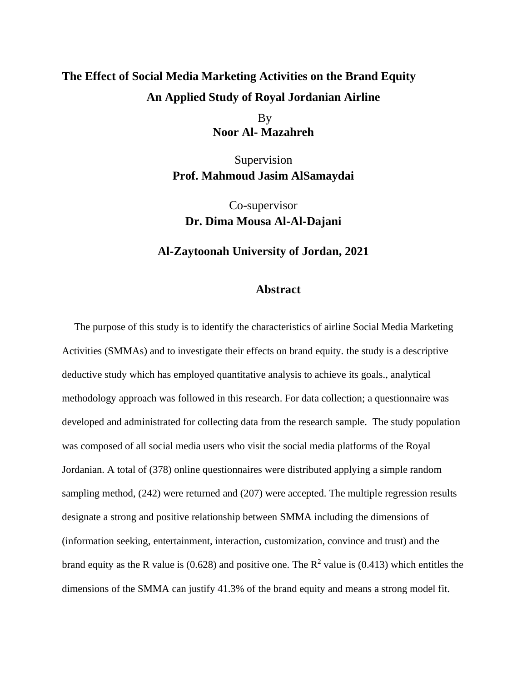## **The Effect of Social Media Marketing Activities on the Brand Equity An Applied Study of Royal Jordanian Airline**

By **Noor Al- Mazahreh**

Supervision **Prof. Mahmoud Jasim AlSamaydai**

Co-supervisor **Dr. Dima Mousa Al-Al-Dajani**

## **Al-Zaytoonah University of Jordan, 2021**

## **Abstract**

The purpose of this study is to identify the characteristics of airline Social Media Marketing Activities (SMMAs) and to investigate their effects on brand equity. the study is a descriptive deductive study which has employed quantitative analysis to achieve its goals., analytical methodology approach was followed in this research. For data collection; a questionnaire was developed and administrated for collecting data from the research sample. The study population was composed of all social media users who visit the social media platforms of the Royal Jordanian. A total of (378) online questionnaires were distributed applying a simple random sampling method, (242) were returned and (207) were accepted. The multiple regression results designate a strong and positive relationship between SMMA including the dimensions of (information seeking, entertainment, interaction, customization, convince and trust) and the brand equity as the R value is (0.628) and positive one. The  $R^2$  value is (0.413) which entitles the dimensions of the SMMA can justify 41.3% of the brand equity and means a strong model fit.